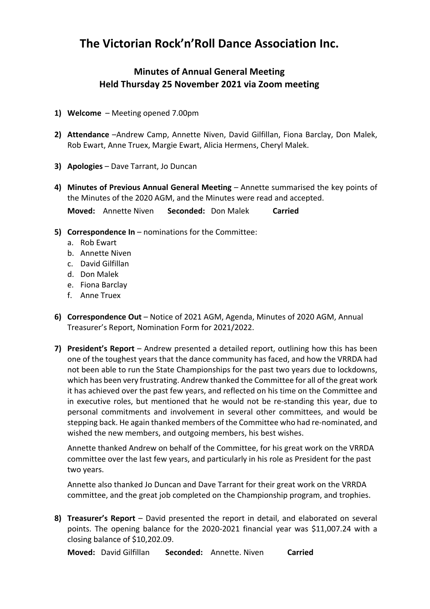## **The Victorian Rock'n'Roll Dance Association Inc.**

## **Minutes of Annual General Meeting Held Thursday 25 November 2021 via Zoom meeting**

- **1) Welcome** Meeting opened 7.00pm
- **2) Attendance** –Andrew Camp, Annette Niven, David Gilfillan, Fiona Barclay, Don Malek, Rob Ewart, Anne Truex, Margie Ewart, Alicia Hermens, Cheryl Malek.
- **3) Apologies** Dave Tarrant, Jo Duncan
- **4) Minutes of Previous Annual General Meeting** Annette summarised the key points of the Minutes of the 2020 AGM, and the Minutes were read and accepted.

**Moved:** Annette Niven **Seconded:** Don Malek **Carried**

- **5) Correspondence In** nominations for the Committee:
	- a. Rob Ewart
	- b. Annette Niven
	- c. David Gilfillan
	- d. Don Malek
	- e. Fiona Barclay
	- f. Anne Truex
- **6) Correspondence Out** Notice of 2021 AGM, Agenda, Minutes of 2020 AGM, Annual Treasurer's Report, Nomination Form for 2021/2022.
- **7) President's Report**  Andrew presented a detailed report, outlining how this has been one of the toughest years that the dance community has faced, and how the VRRDA had not been able to run the State Championships for the past two years due to lockdowns, which has been very frustrating. Andrew thanked the Committee for all of the great work it has achieved over the past few years, and reflected on his time on the Committee and in executive roles, but mentioned that he would not be re-standing this year, due to personal commitments and involvement in several other committees, and would be stepping back. He again thanked members of the Committee who had re-nominated, and wished the new members, and outgoing members, his best wishes.

Annette thanked Andrew on behalf of the Committee, for his great work on the VRRDA committee over the last few years, and particularly in his role as President for the past two years.

Annette also thanked Jo Duncan and Dave Tarrant for their great work on the VRRDA committee, and the great job completed on the Championship program, and trophies.

**8) Treasurer's Report** – David presented the report in detail, and elaborated on several points. The opening balance for the 2020-2021 financial year was \$11,007.24 with a closing balance of \$10,202.09.

**Moved:** David Gilfillan **Seconded:** Annette. Niven **Carried**